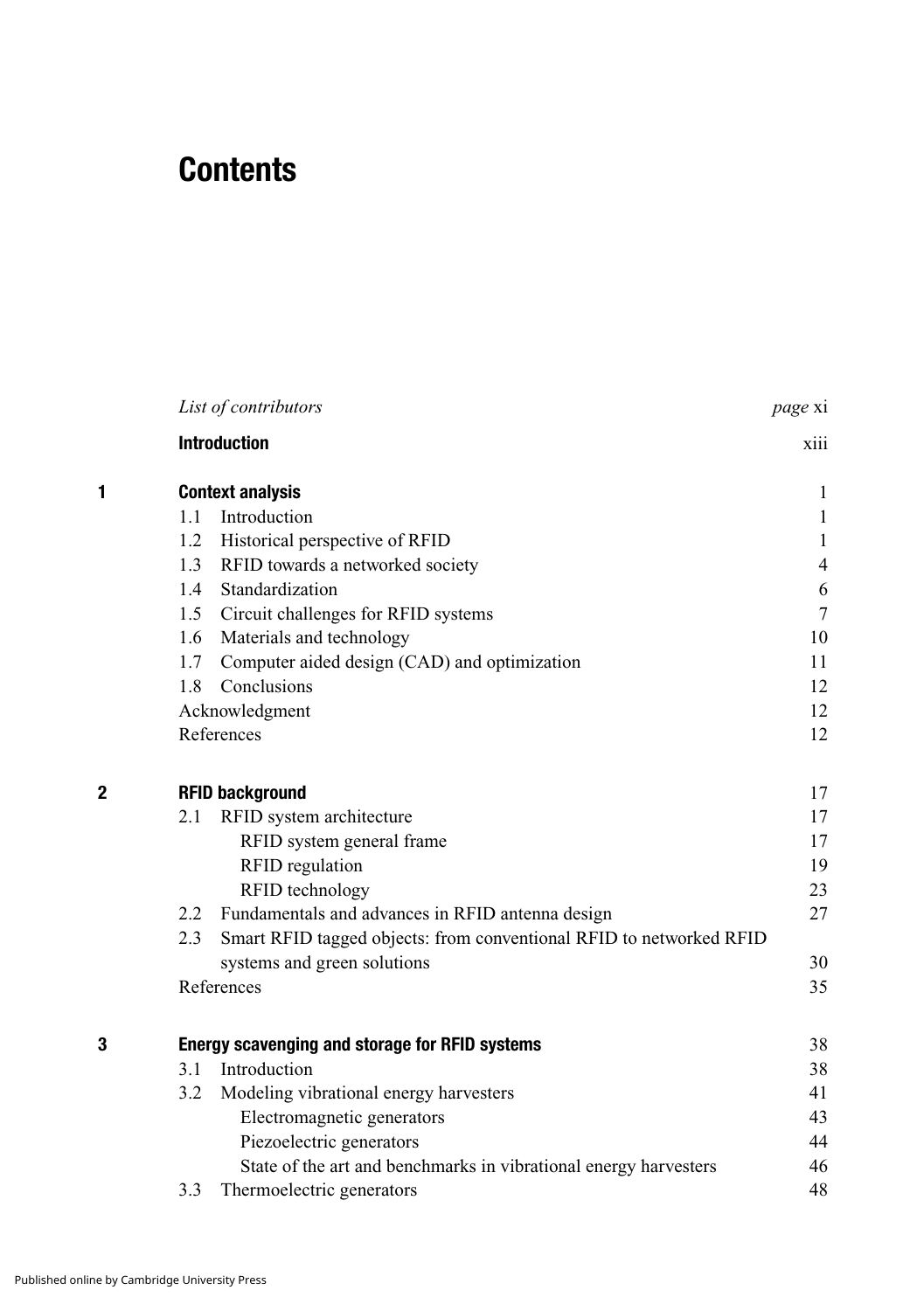## **Contents**

|   |     | List of contributors                                                | page xi        |
|---|-----|---------------------------------------------------------------------|----------------|
|   |     | <b>Introduction</b>                                                 | xiii           |
| 1 |     | <b>Context analysis</b>                                             | 1              |
|   | 1.1 | Introduction                                                        | $\mathbf{1}$   |
|   | 1.2 | Historical perspective of RFID                                      | $\mathbf{1}$   |
|   | 1.3 | RFID towards a networked society                                    | $\overline{4}$ |
|   | 1.4 | Standardization                                                     | 6              |
|   | 1.5 | Circuit challenges for RFID systems                                 | $\tau$         |
|   | 1.6 | Materials and technology                                            | 10             |
|   | 1.7 | Computer aided design (CAD) and optimization                        | 11             |
|   | 1.8 | Conclusions                                                         | 12             |
|   |     | Acknowledgment                                                      | 12             |
|   |     | References                                                          | 12             |
| 2 |     | <b>RFID background</b>                                              | 17             |
|   | 2.1 | RFID system architecture                                            | 17             |
|   |     | RFID system general frame                                           | 17             |
|   |     | RFID regulation                                                     | 19             |
|   |     | RFID technology                                                     | 23             |
|   | 2.2 | Fundamentals and advances in RFID antenna design                    | 27             |
|   | 2.3 | Smart RFID tagged objects: from conventional RFID to networked RFID |                |
|   |     | systems and green solutions                                         | 30             |
|   |     | References                                                          | 35             |
| 3 |     | Energy scavenging and storage for RFID systems                      | 38             |
|   | 3.1 | Introduction                                                        | 38             |
|   | 3.2 | Modeling vibrational energy harvesters                              | 41             |
|   |     | Electromagnetic generators                                          | 43             |
|   |     | Piezoelectric generators                                            | 44             |
|   |     | State of the art and benchmarks in vibrational energy harvesters    | 46             |
|   | 3.3 | Thermoelectric generators                                           | 48             |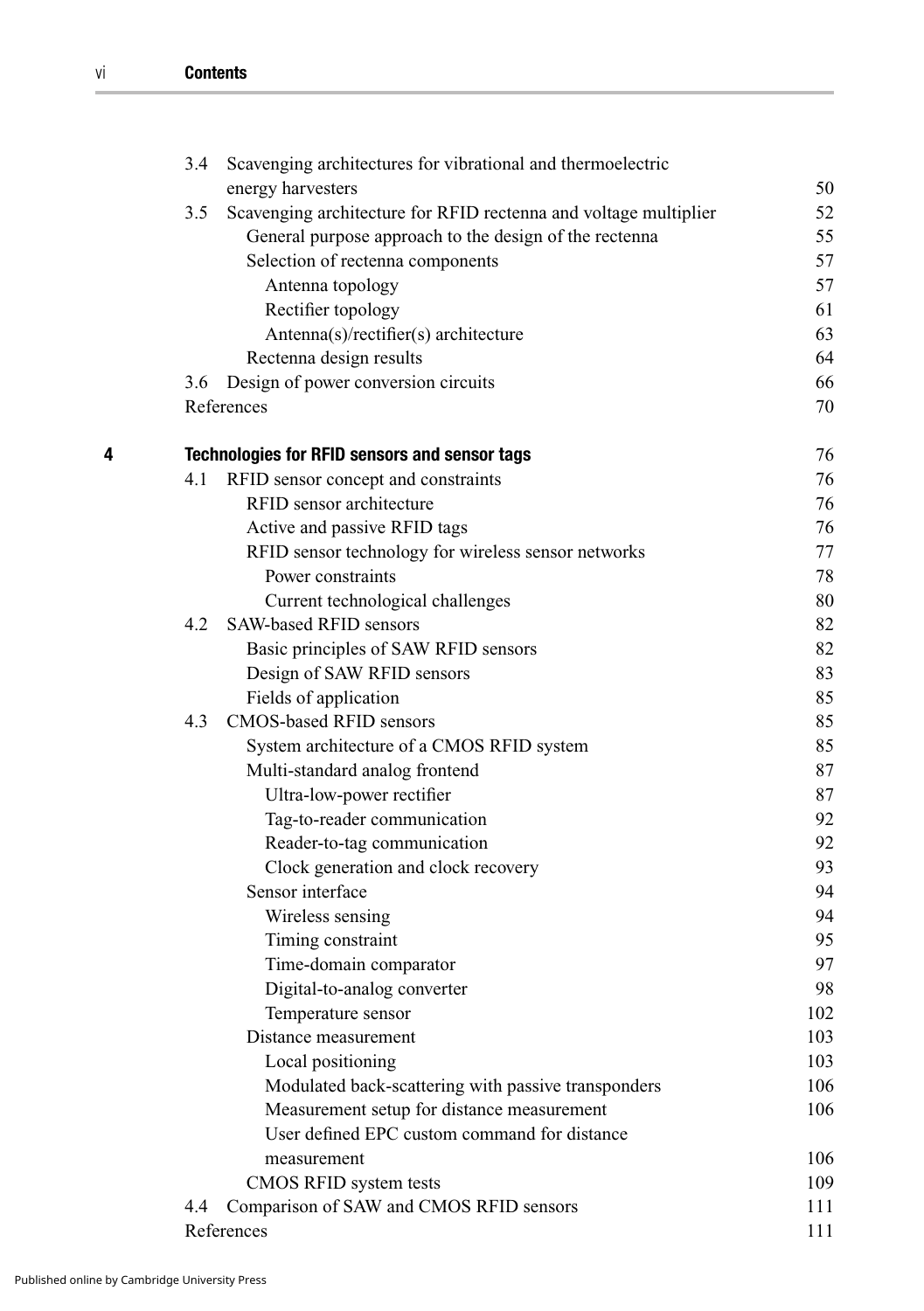|   | 3.4 | Scavenging architectures for vibrational and thermoelectric      |     |
|---|-----|------------------------------------------------------------------|-----|
|   |     | energy harvesters                                                | 50  |
|   | 3.5 | Scavenging architecture for RFID rectenna and voltage multiplier | 52  |
|   |     | General purpose approach to the design of the rectenna           | 55  |
|   |     | Selection of rectenna components                                 | 57  |
|   |     | Antenna topology                                                 | 57  |
|   |     | Rectifier topology                                               | 61  |
|   |     | Antenna(s)/rectifier(s) architecture                             | 63  |
|   |     | Rectenna design results                                          | 64  |
|   | 3.6 | Design of power conversion circuits                              | 66  |
|   |     | References                                                       | 70  |
| 4 |     | <b>Technologies for RFID sensors and sensor tags</b>             | 76  |
|   | 4.1 | RFID sensor concept and constraints                              | 76  |
|   |     | RFID sensor architecture                                         | 76  |
|   |     | Active and passive RFID tags                                     | 76  |
|   |     | RFID sensor technology for wireless sensor networks              | 77  |
|   |     | Power constraints                                                | 78  |
|   |     | Current technological challenges                                 | 80  |
|   | 4.2 | SAW-based RFID sensors                                           | 82  |
|   |     | Basic principles of SAW RFID sensors                             | 82  |
|   |     | Design of SAW RFID sensors                                       | 83  |
|   |     | Fields of application                                            | 85  |
|   | 4.3 | CMOS-based RFID sensors                                          | 85  |
|   |     | System architecture of a CMOS RFID system                        | 85  |
|   |     | Multi-standard analog frontend                                   | 87  |
|   |     | Ultra-low-power rectifier                                        | 87  |
|   |     | Tag-to-reader communication                                      | 92  |
|   |     | Reader-to-tag communication                                      | 92  |
|   |     | Clock generation and clock recovery                              | 93  |
|   |     | Sensor interface                                                 | 94  |
|   |     | Wireless sensing                                                 | 94  |
|   |     | Timing constraint                                                | 95  |
|   |     | Time-domain comparator                                           | 97  |
|   |     | Digital-to-analog converter                                      | 98  |
|   |     | Temperature sensor                                               | 102 |
|   |     | Distance measurement                                             | 103 |
|   |     | Local positioning                                                | 103 |
|   |     | Modulated back-scattering with passive transponders              | 106 |
|   |     | Measurement setup for distance measurement                       | 106 |
|   |     | User defined EPC custom command for distance                     |     |
|   |     | measurement                                                      | 106 |
|   |     | CMOS RFID system tests                                           | 109 |
|   | 4.4 | Comparison of SAW and CMOS RFID sensors                          | 111 |
|   |     | References                                                       | 111 |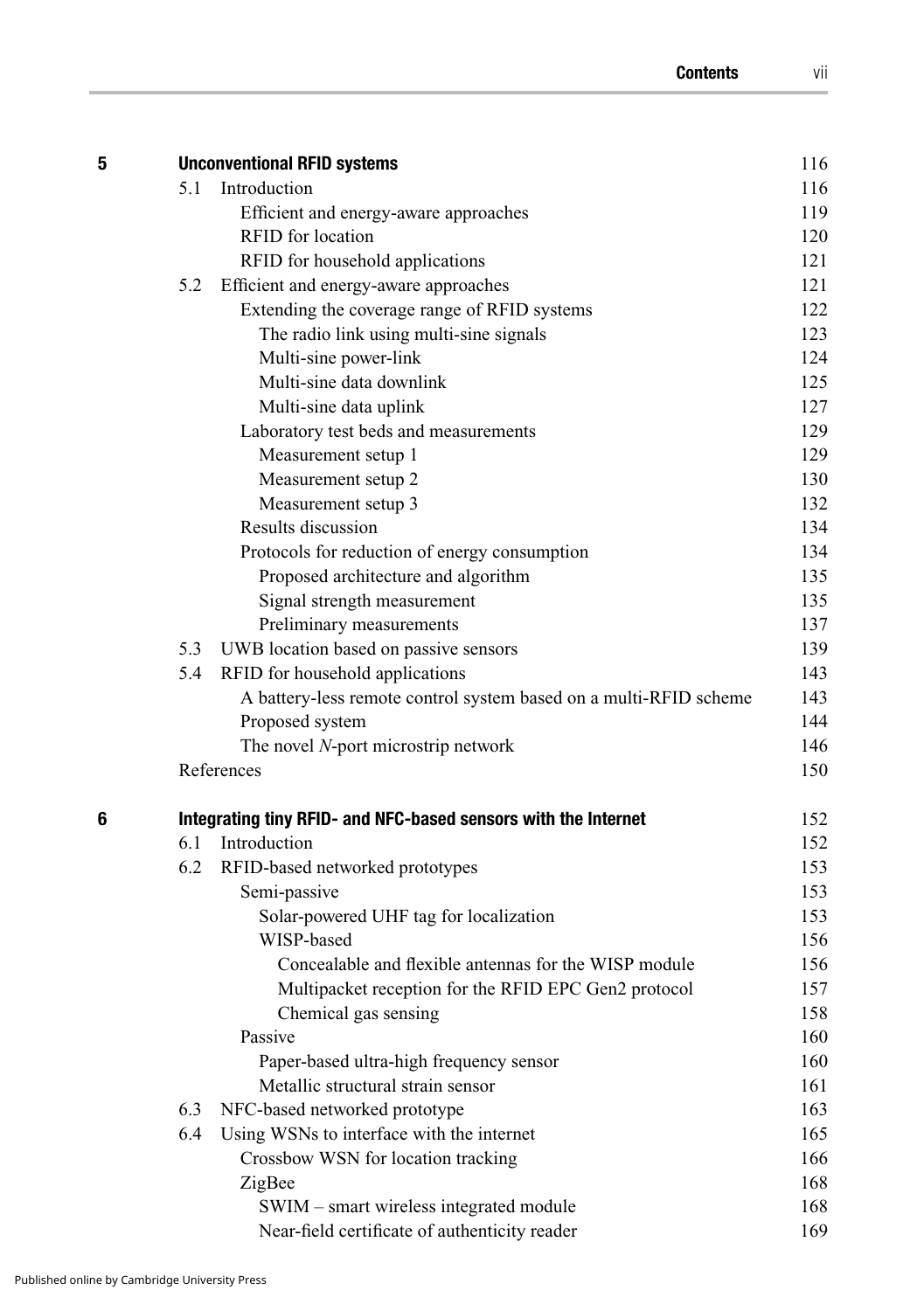| 5 |     | <b>Unconventional RFID systems</b>                                | 116 |
|---|-----|-------------------------------------------------------------------|-----|
|   | 5.1 | Introduction                                                      | 116 |
|   |     | Efficient and energy-aware approaches                             | 119 |
|   |     | RFID for location                                                 | 120 |
|   |     | RFID for household applications                                   | 121 |
|   | 5.2 | Efficient and energy-aware approaches                             | 121 |
|   |     | Extending the coverage range of RFID systems                      | 122 |
|   |     | The radio link using multi-sine signals                           | 123 |
|   |     | Multi-sine power-link                                             | 124 |
|   |     | Multi-sine data downlink                                          | 125 |
|   |     | Multi-sine data uplink                                            | 127 |
|   |     | Laboratory test beds and measurements                             | 129 |
|   |     | Measurement setup 1                                               | 129 |
|   |     | Measurement setup 2                                               | 130 |
|   |     | Measurement setup 3                                               | 132 |
|   |     | Results discussion                                                | 134 |
|   |     | Protocols for reduction of energy consumption                     | 134 |
|   |     | Proposed architecture and algorithm                               | 135 |
|   |     | Signal strength measurement                                       | 135 |
|   |     | Preliminary measurements                                          | 137 |
|   | 5.3 | UWB location based on passive sensors                             | 139 |
|   | 5.4 | RFID for household applications                                   | 143 |
|   |     | A battery-less remote control system based on a multi-RFID scheme | 143 |
|   |     | Proposed system                                                   | 144 |
|   |     | The novel N-port microstrip network                               | 146 |
|   |     | References                                                        | 150 |
| 6 |     | Integrating tiny RFID- and NFC-based sensors with the Internet    | 152 |
|   | 6.1 | Introduction                                                      | 152 |
|   | 6.2 | RFID-based networked prototypes                                   | 153 |
|   |     | Semi-passive                                                      | 153 |
|   |     | Solar-powered UHF tag for localization                            | 153 |
|   |     | WISP-based                                                        | 156 |
|   |     | Concealable and flexible antennas for the WISP module             | 156 |
|   |     | Multipacket reception for the RFID EPC Gen2 protocol              | 157 |
|   |     | Chemical gas sensing                                              | 158 |
|   |     | Passive                                                           | 160 |
|   |     | Paper-based ultra-high frequency sensor                           | 160 |
|   |     | Metallic structural strain sensor                                 | 161 |
|   | 6.3 | NFC-based networked prototype                                     | 163 |
|   | 6.4 | Using WSNs to interface with the internet                         | 165 |
|   |     | Crossbow WSN for location tracking                                | 166 |
|   |     | ZigBee                                                            | 168 |
|   |     | SWIM – smart wireless integrated module                           | 168 |
|   |     | Near-field certificate of authenticity reader                     | 169 |
|   |     |                                                                   |     |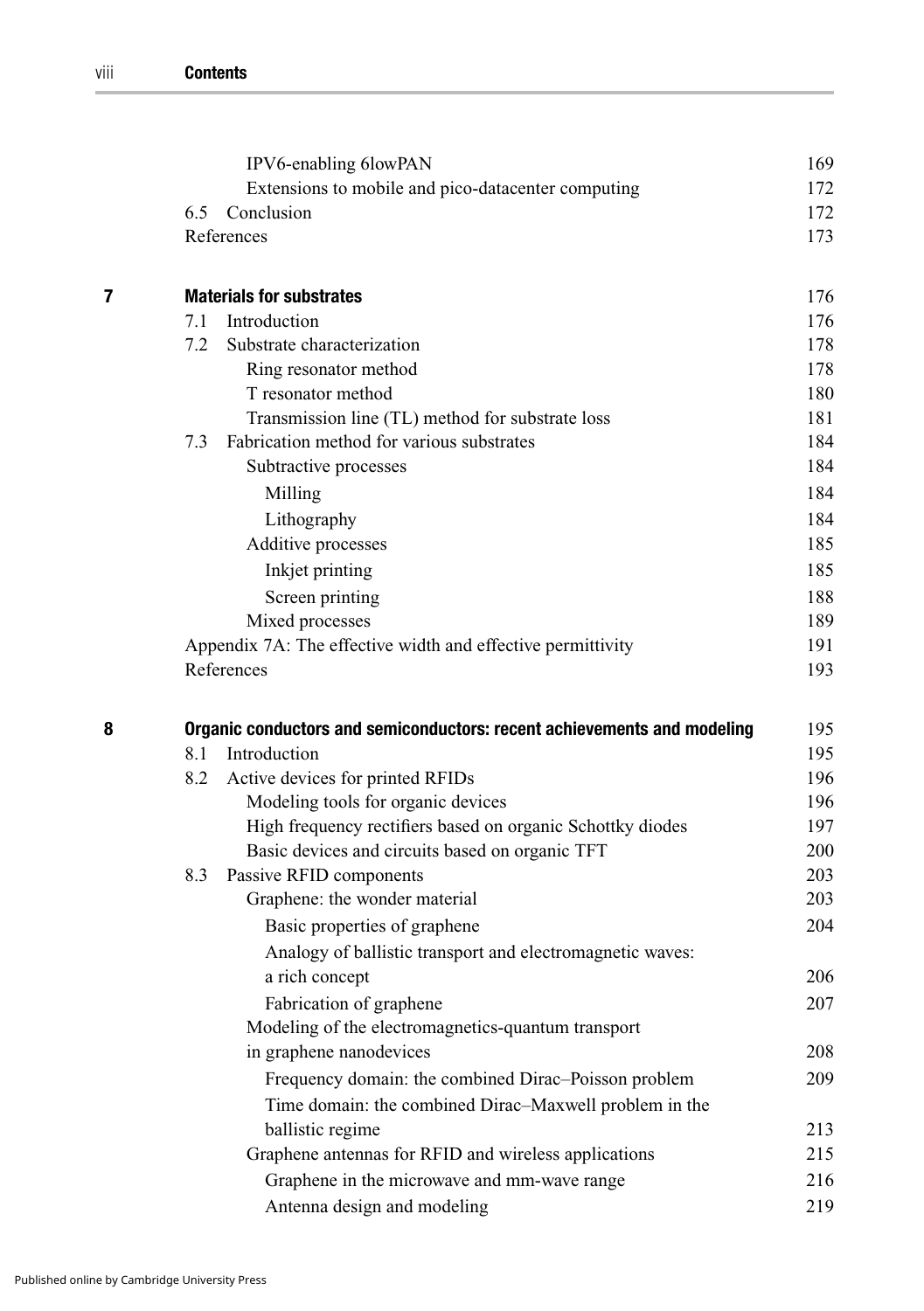|   |                                                                         | IPV6-enabling 6lowPAN                                       | 169 |
|---|-------------------------------------------------------------------------|-------------------------------------------------------------|-----|
|   |                                                                         | Extensions to mobile and pico-datacenter computing          | 172 |
|   | 6.5                                                                     | Conclusion                                                  | 172 |
|   |                                                                         | References                                                  | 173 |
| 7 |                                                                         | <b>Materials for substrates</b>                             | 176 |
|   | 7.1                                                                     | Introduction                                                | 176 |
|   | 7.2                                                                     | Substrate characterization                                  | 178 |
|   |                                                                         | Ring resonator method                                       | 178 |
|   |                                                                         | T resonator method                                          | 180 |
|   |                                                                         | Transmission line (TL) method for substrate loss            | 181 |
|   | 7.3                                                                     | Fabrication method for various substrates                   | 184 |
|   |                                                                         | Subtractive processes                                       | 184 |
|   |                                                                         | Milling                                                     | 184 |
|   |                                                                         | Lithography                                                 | 184 |
|   |                                                                         | Additive processes                                          | 185 |
|   |                                                                         | Inkjet printing                                             | 185 |
|   |                                                                         | Screen printing                                             | 188 |
|   |                                                                         | Mixed processes                                             | 189 |
|   |                                                                         | Appendix 7A: The effective width and effective permittivity | 191 |
|   |                                                                         | References                                                  | 193 |
| 8 | Organic conductors and semiconductors: recent achievements and modeling |                                                             | 195 |
|   | 8.1                                                                     | Introduction                                                | 195 |
|   | 8.2                                                                     | Active devices for printed RFIDs                            | 196 |
|   |                                                                         | Modeling tools for organic devices                          | 196 |
|   |                                                                         | High frequency rectifiers based on organic Schottky diodes  | 197 |
|   |                                                                         | Basic devices and circuits based on organic TFT             | 200 |
|   | 8.3                                                                     | Passive RFID components                                     | 203 |
|   |                                                                         | Graphene: the wonder material                               | 203 |
|   |                                                                         | Basic properties of graphene                                | 204 |
|   |                                                                         | Analogy of ballistic transport and electromagnetic waves:   |     |
|   |                                                                         | a rich concept                                              | 206 |
|   |                                                                         | Fabrication of graphene                                     | 207 |
|   |                                                                         | Modeling of the electromagnetics-quantum transport          |     |
|   |                                                                         | in graphene nanodevices                                     | 208 |
|   |                                                                         | Frequency domain: the combined Dirac-Poisson problem        | 209 |
|   |                                                                         | Time domain: the combined Dirac-Maxwell problem in the      |     |
|   |                                                                         | ballistic regime                                            | 213 |
|   |                                                                         | Graphene antennas for RFID and wireless applications        | 215 |
|   |                                                                         | Graphene in the microwave and mm-wave range                 | 216 |
|   |                                                                         | Antenna design and modeling                                 | 219 |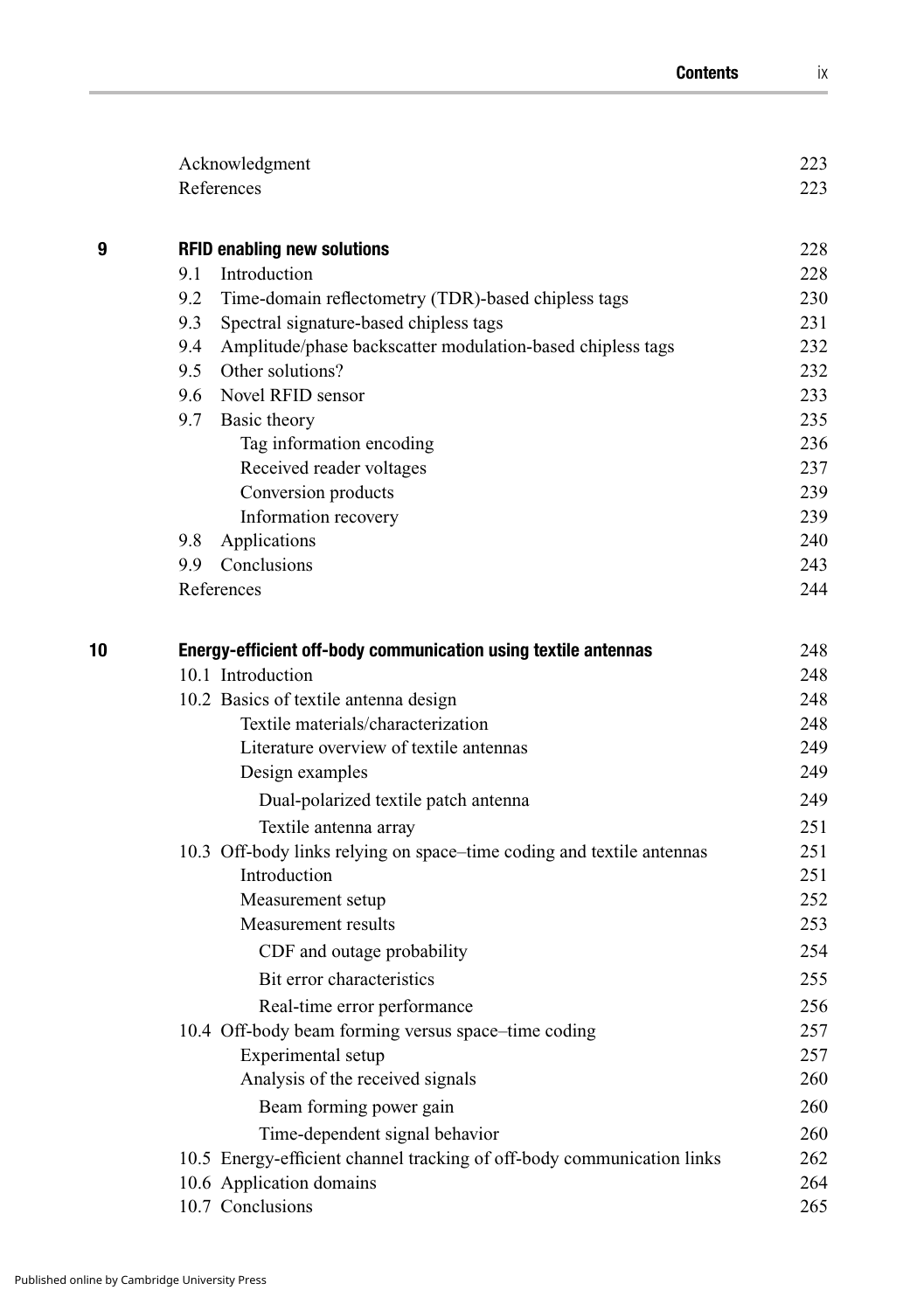|    | Acknowledgment                                                         | 223 |
|----|------------------------------------------------------------------------|-----|
|    | References                                                             | 223 |
| 9  | <b>RFID enabling new solutions</b>                                     | 228 |
|    | Introduction<br>9.1                                                    | 228 |
|    | 9.2<br>Time-domain reflectometry (TDR)-based chipless tags             | 230 |
|    | 9.3<br>Spectral signature-based chipless tags                          | 231 |
|    | Amplitude/phase backscatter modulation-based chipless tags<br>9.4      | 232 |
|    | 9.5 Other solutions?                                                   | 232 |
|    | 9.6 Novel RFID sensor                                                  | 233 |
|    | 9.7 Basic theory                                                       | 235 |
|    | Tag information encoding                                               | 236 |
|    | Received reader voltages                                               | 237 |
|    | Conversion products                                                    | 239 |
|    | Information recovery                                                   | 239 |
|    | 9.8 Applications                                                       | 240 |
|    | 9.9 Conclusions                                                        | 243 |
|    | References                                                             | 244 |
| 10 | Energy-efficient off-body communication using textile antennas         | 248 |
|    | 10.1 Introduction                                                      | 248 |
|    | 10.2 Basics of textile antenna design                                  | 248 |
|    | Textile materials/characterization                                     | 248 |
|    | Literature overview of textile antennas                                | 249 |
|    | Design examples                                                        | 249 |
|    | Dual-polarized textile patch antenna                                   | 249 |
|    | Textile antenna array                                                  | 251 |
|    | 10.3 Off-body links relying on space–time coding and textile antennas  | 251 |
|    | Introduction                                                           | 251 |
|    | Measurement setup                                                      | 252 |
|    | Measurement results                                                    | 253 |
|    | CDF and outage probability                                             | 254 |
|    | Bit error characteristics                                              | 255 |
|    | Real-time error performance                                            | 256 |
|    | 10.4 Off-body beam forming versus space-time coding                    | 257 |
|    | Experimental setup                                                     | 257 |
|    | Analysis of the received signals                                       | 260 |
|    | Beam forming power gain                                                | 260 |
|    | Time-dependent signal behavior                                         | 260 |
|    | 10.5 Energy-efficient channel tracking of off-body communication links | 262 |
|    | 10.6 Application domains                                               | 264 |
|    | 10.7 Conclusions                                                       | 265 |
|    |                                                                        |     |